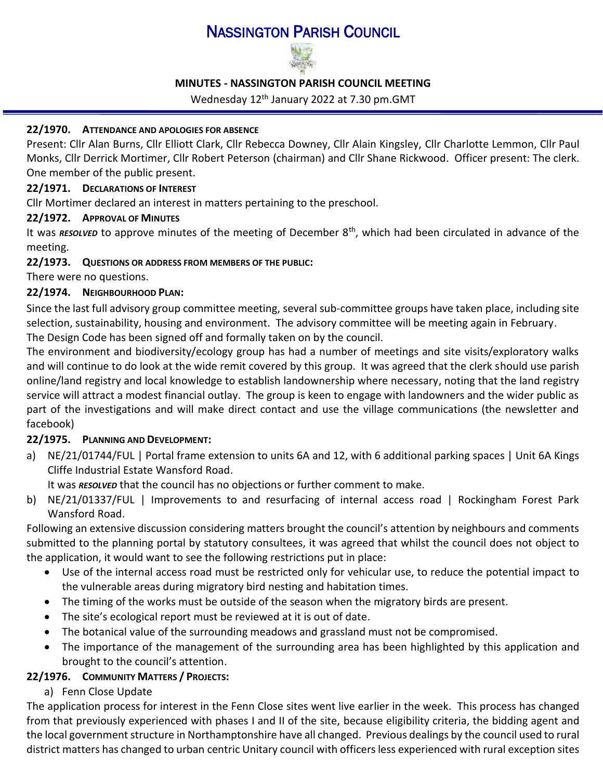# NASSINGTON PARISH COUNCIL



### **MINUTES - NASSINGTON PARISH COUNCIL MEETING**

Wednesday 12<sup>th</sup> January 2022 at 7.30 pm.GMT

### **22/1970. ATTENDANCE AND APOLOGIES FOR ABSENCE**

Present: Cllr Alan Burns, Cllr Elliott Clark, Cllr Rebecca Downey, Cllr Alain Kingsley, Cllr Charlotte Lemmon, Cllr Paul Monks, Cllr Derrick Mortimer, Cllr Robert Peterson (chairman) and Cllr Shane Rickwood. Officer present: The clerk. One member of the public present.

### **22/1971. D[ECLARATIONS OF](http://www.east-northamptonshire.gov.uk/info/723/parish_and_town_councils/1464/deene_and_deenethorpe_parish_council) INTEREST**

Cllr Mortimer declared an interest in matters pertaining to the preschool.

## **22/1972. APPROVAL OF MINUTES**

It was *RESOLVED* to approve minutes of the meeting of December 8<sup>th</sup>, which had been circulated in advance of the meeting.

## **22/1973. QUESTIONS OR ADDRESS FROM MEMBERS OF THE PUBLIC:**

There were no questions.

## **22/1974. NEIGHBOURHOOD PLAN:**

Since the last full advisory group committee meeting, several sub-committee groups have taken place, including site selection, sustainability, housing and environment. The advisory committee will be meeting again in February. The Design Code has been signed off and formally taken on by the council.

The environment and biodiversity/ecology group has had a number of meetings and site visits/exploratory walks and will continue to do look at the wide remit covered by this group. It was agreed that the clerk should use parish online/land registry and local knowledge to establish landownership where necessary, noting that the land registry service will attract a modest financial outlay. The group is keen to engage with landowners and the wider public as part of the investigations and will make direct contact and use the village communications (the newsletter and facebook)

## **22/1975. PLANNING AND DEVELOPMENT:**

a) NE/21/01744/FUL | Portal frame extension to units 6A and 12, with 6 additional parking spaces | Unit 6A Kings Cliffe Industrial Estate Wansford Road.

It was *RESOLVED* that the council has no objections or further comment to make.

b) NE/21/01337/FUL | Improvements to and resurfacing of internal access road | Rockingham Forest Park Wansford Road.

Following an extensive discussion considering matters brought the council's attention by neighbours and comments submitted to the planning portal by statutory consultees, it was agreed that whilst the council does not object to the application, it would want to see the following restrictions put in place:

- Use of the internal access road must be restricted only for vehicular use, to reduce the potential impact to the vulnerable areas during migratory bird nesting and habitation times.
- The timing of the works must be outside of the season when the migratory birds are present.
- The site's ecological report must be reviewed at it is out of date.
- The botanical value of the surrounding meadows and grassland must not be compromised.
- The importance of the management of the surrounding area has been highlighted by this application and brought to the council's attention.

## **22/1976. COMMUNITY MATTERS / PROJECTS:**

a) Fenn Close Update

The application process for interest in the Fenn Close sites went live earlier in the week. This process has changed from that previously experienced with phases I and II of the site, because eligibility criteria, the bidding agent and the local government structure in Northamptonshire have all changed. Previous dealings by the council used to rural district matters has changed to urban centric Unitary council with officersless experienced with rural exception sites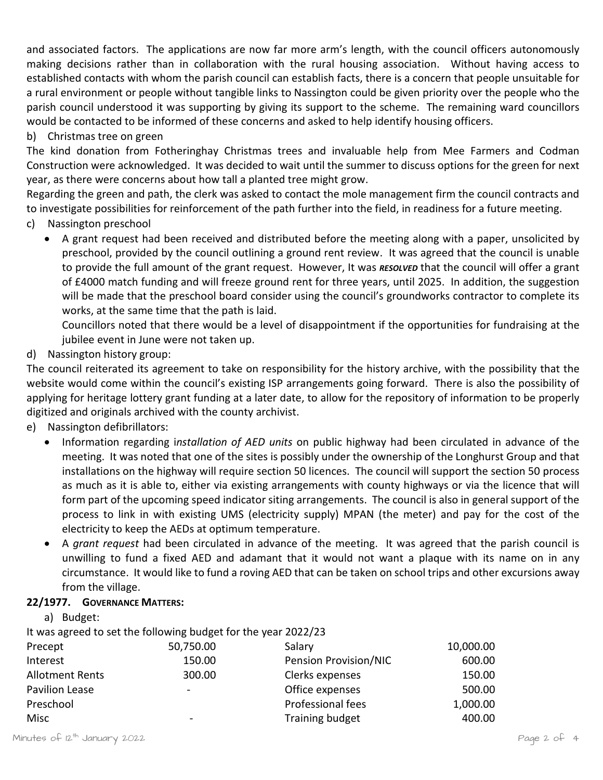and associated factors. The applications are now far more arm's length, with the council officers autonomously making decisions rather than in collaboration with the rural housing association. Without having access to established contacts with whom the parish council can establish facts, there is a concern that people unsuitable for a rural environment or people without tangible links to Nassington could be given priority over the people who the parish council understood it was supporting by giving its support to the scheme. The remaining ward councillors would be contacted to be informed of these concerns and asked to help identify housing officers.

### b) Christmas tree on green

The kind donation from Fotheringhay Christmas trees and invaluable help from Mee Farmers and Codman Construction were acknowledged. It was decided to wait until the summer to discuss options for the green for next year, as there were concerns about how tall a planted tree might grow.

Regarding the green and path, the clerk was asked to contact the mole management firm the council contracts and to investigate possibilities for reinforcement of the path further into the field, in readiness for a future meeting.

- c) Nassington preschool
	- A grant request had been received and distributed before the meeting along with a paper, unsolicited by preschool, provided by the council outlining a ground rent review. It was agreed that the council is unable to provide the full amount of the grant request. However, It was *RESOLVED* that the council will offer a grant of £4000 match funding and will freeze ground rent for three years, until 2025. In addition, the suggestion will be made that the preschool board consider using the council's groundworks contractor to complete its works, at the same time that the path is laid.

Councillors noted that there would be a level of disappointment if the opportunities for fundraising at the jubilee event in June were not taken up.

d) Nassington history group:

The council reiterated its agreement to take on responsibility for the history archive, with the possibility that the website would come within the council's existing ISP arrangements going forward. There is also the possibility of applying for heritage lottery grant funding at a later date, to allow for the repository of information to be properly digitized and originals archived with the county archivist.

- e) Nassington defibrillators:
	- Information regarding i*nstallation of AED units* [on public highway](https://www.dropbox.com/s/hz7n7dgndb2mxx8/21.12%20email%20Nassington%20Heart%20Safe%20Community.pdf?dl=0) had been circulated in advance of the meeting. It was noted that one of the sites is possibly under the ownership of the Longhurst Group and that installations on the highway will require section 50 licences. The council will support the section 50 process as much as it is able to, either via existing arrangements with county highways or via the licence that will form part of the upcoming speed indicator siting arrangements. The council is also in general support of the process to link in with existing UMS (electricity supply) MPAN (the meter) and pay for the cost of the electricity to keep the AEDs at optimum temperature.
	- A *[grant request](https://www.dropbox.com/s/29dvbav57w6v9gp/22.01%20Community%20Funding%20Request%20for%20Support%20-%20Nassington%20Parish%20Council%20%2001-01-22.pdf?dl=0)* had been circulated in advance of the meeting. It was agreed that the parish council is unwilling to fund a fixed AED and adamant that it would not want a plaque with its name on in any circumstance. It would like to fund a roving AED that can be taken on school trips and other excursions away from the village.

### **22/1977. GOVERNANCE MATTERS:**

| Budget:<br>a)          |                                                                                                                                                              |                              |           |
|------------------------|--------------------------------------------------------------------------------------------------------------------------------------------------------------|------------------------------|-----------|
|                        | It was agreed to set the following budget for the year 2022/23                                                                                               |                              |           |
| Precept                | 50,750.00                                                                                                                                                    | Salary                       | 10,000.00 |
| Interest               | 150.00                                                                                                                                                       | <b>Pension Provision/NIC</b> | 600.00    |
| <b>Allotment Rents</b> | 300.00                                                                                                                                                       | Clerks expenses              | 150.00    |
| Pavilion Lease         | $\hskip1.6pt\hskip1.6pt\hskip1.6pt\hskip1.6pt\hskip1.6pt\hskip1.6pt\hskip1.6pt\hskip1.6pt\hskip1.6pt\hskip1.6pt\hskip1.6pt\hskip1.6pt\hskip1.6pt\hskip1.6pt$ | Office expenses              | 500.00    |
| Preschool              |                                                                                                                                                              | Professional fees            | 1,000.00  |
| Misc                   | $\overline{\phantom{0}}$                                                                                                                                     | <b>Training budget</b>       | 400.00    |
|                        |                                                                                                                                                              |                              |           |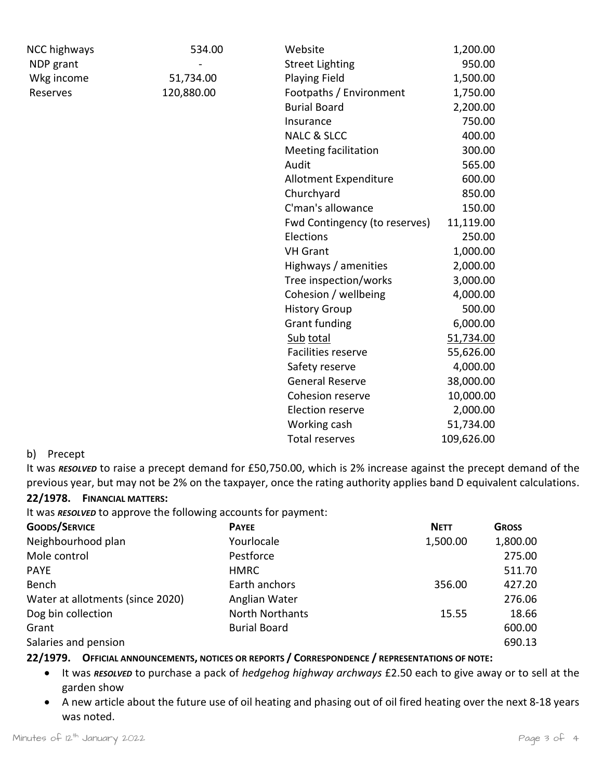| <b>NCC highways</b> | 534.00     | Website                       | 1,200.00   |
|---------------------|------------|-------------------------------|------------|
| NDP grant           |            | <b>Street Lighting</b>        | 950.00     |
| Wkg income          | 51,734.00  | <b>Playing Field</b>          | 1,500.00   |
| Reserves            | 120,880.00 | Footpaths / Environment       | 1,750.00   |
|                     |            | <b>Burial Board</b>           | 2,200.00   |
|                     |            | Insurance                     | 750.00     |
|                     |            | <b>NALC &amp; SLCC</b>        | 400.00     |
|                     |            | <b>Meeting facilitation</b>   | 300.00     |
|                     |            | Audit                         | 565.00     |
|                     |            | Allotment Expenditure         | 600.00     |
|                     |            | Churchyard                    | 850.00     |
|                     |            | C'man's allowance             | 150.00     |
|                     |            | Fwd Contingency (to reserves) | 11,119.00  |
|                     |            | Elections                     | 250.00     |
|                     |            | <b>VH Grant</b>               | 1,000.00   |
|                     |            | Highways / amenities          | 2,000.00   |
|                     |            | Tree inspection/works         | 3,000.00   |
|                     |            | Cohesion / wellbeing          | 4,000.00   |
|                     |            | <b>History Group</b>          | 500.00     |
|                     |            | <b>Grant funding</b>          | 6,000.00   |
|                     |            | Sub total                     | 51,734.00  |
|                     |            | Facilities reserve            | 55,626.00  |
|                     |            | Safety reserve                | 4,000.00   |
|                     |            | <b>General Reserve</b>        | 38,000.00  |
|                     |            | Cohesion reserve              | 10,000.00  |
|                     |            | Election reserve              | 2,000.00   |
|                     |            | Working cash                  | 51,734.00  |
|                     |            | <b>Total reserves</b>         | 109,626.00 |

#### b) Precept

It was *RESOLVED* to raise a precept demand for £50,750.00, which is 2% increase against the precept demand of the previous year, but may not be 2% on the taxpayer, once the rating authority applies band D equivalent calculations. **22/1978. FINANCIAL MATTERS:**

## It was *RESOLVED* to approve the following accounts for payment:

| <b>GOODS/SERVICE</b>             | <b>PAYEE</b>           | <b>NETT</b> | <b>GROSS</b> |
|----------------------------------|------------------------|-------------|--------------|
| Neighbourhood plan               | Yourlocale             | 1,500.00    | 1,800.00     |
| Mole control                     | Pestforce              |             | 275.00       |
| <b>PAYE</b>                      | <b>HMRC</b>            |             | 511.70       |
| Bench                            | Earth anchors          | 356.00      | 427.20       |
| Water at allotments (since 2020) | Anglian Water          |             | 276.06       |
| Dog bin collection               | <b>North Northants</b> | 15.55       | 18.66        |
| Grant                            | <b>Burial Board</b>    |             | 600.00       |
| Salaries and pension             |                        |             | 690.13       |

# **22/1979. OFFICIAL ANNOUNCEMENTS, NOTICES OR REPORTS / CORRESPONDENCE / REPRESENTATIONS OF NOTE:**

- It was *RESOLVED* to purchase a pack of *[hedgehog highway archways](https://www.dropbox.com/sh/t9du69xb2j20ikv/AABgJa2c266HlF_bPeuMtvk-a?dl=0)* £2.50 each to give away or to sell at the garden show
- A new article about the future use of oil heating and phasing out of oil fired heating over the next 8-18 years was noted.